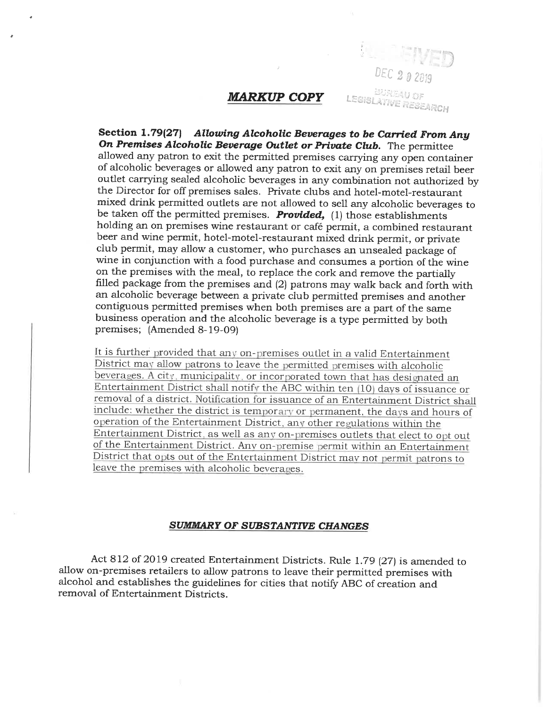## **MARKUP COPY**

DEC 2 0 2019

BURGAU OF

LEGISLATIVE RESEARCH

Section 1.79(27) Allowing Alcoholic Beverages to be Carried From Any On Premises Alcoholic Beverage Outlet or Private Club. The permittee allowed any patron to exit the permitted premises carrying any open container of alcoholic beverages or allowed any patron to exit any on premises retail beer outlet carrying sealed alcoholic beverages in any combination not authorized by the Director for off premises sales. Private clubs and hotel-motel-restaurant mixed drink permitted outlets are not allowed to sell any alcoholic beverages to be taken off the permitted premises. **Provided**,  $(1)$  those establishments holding an on premises wine restaurant or café permit, a combined restaurant beer and wine permit, hotel-motel-restaurant mixed drink permit, or private club permit, may allow a customer, who purchases an unsealed package of wine in conjunction with a food purchase and consumes a portion of the wine on the premises with the meal, to replace the cork and remove the partially filled package from the premises and (2) patrons may walk back and forth with an alcoholic beverage between a private club permitted premises and another contiguous permitted premises when both premises are a part of the same business operation and the alcoholic beverage is a type permitted by both premises; (Amended 8-19-09)

It is further provided that any on-premises outlet in a valid Entertainment District may allow patrons to leave the permitted premises with alcoholic beverages. A city, municipality, or incorporated town that has designated an Entertainment District shall notify the ABC within ten (10) days of issuance or removal of a district. Notification for issuance of an Entertainment District shall include: whether the district is temporary or permanent, the days and hours of operation of the Entertainment District, any other regulations within the Entertainment District, as well as any on-premises outlets that elect to opt out of the Entertainment District. Any on-premise permit within an Entertainment District that opts out of the Entertainment District may not permit patrons to leave the premises with alcoholic beverages.

## **SUMMARY OF SUBSTANTIVE CHANGES**

Act 812 of 2019 created Entertainment Districts. Rule 1.79 (27) is amended to allow on-premises retailers to allow patrons to leave their permitted premises with alcohol and establishes the guidelines for cities that notify ABC of creation and removal of Entertainment Districts.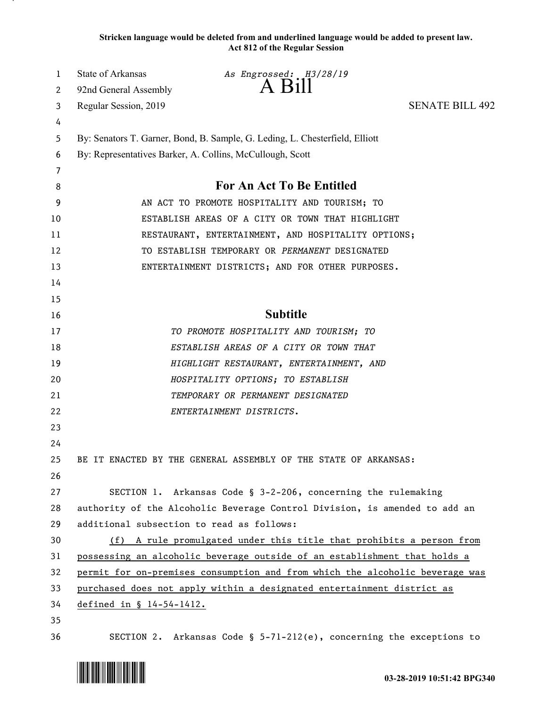**Stricken language would be deleted from and underlined language would be added to present law. Act 812 of the Regular Session**

| 1      | <b>State of Arkansas</b>                                                     | As Engrossed: H3/28/19<br>A Bill                                             |                        |
|--------|------------------------------------------------------------------------------|------------------------------------------------------------------------------|------------------------|
| 2      | 92nd General Assembly                                                        |                                                                              |                        |
| 3      | Regular Session, 2019                                                        |                                                                              | <b>SENATE BILL 492</b> |
| 4      |                                                                              |                                                                              |                        |
| 5      |                                                                              | By: Senators T. Garner, Bond, B. Sample, G. Leding, L. Chesterfield, Elliott |                        |
| 6      |                                                                              | By: Representatives Barker, A. Collins, McCullough, Scott                    |                        |
| 7<br>8 |                                                                              | For An Act To Be Entitled                                                    |                        |
| 9      | AN ACT TO PROMOTE HOSPITALITY AND TOURISM; TO                                |                                                                              |                        |
| 10     | ESTABLISH AREAS OF A CITY OR TOWN THAT HIGHLIGHT                             |                                                                              |                        |
| 11     | RESTAURANT, ENTERTAINMENT, AND HOSPITALITY OPTIONS;                          |                                                                              |                        |
| 12     | TO ESTABLISH TEMPORARY OR PERMANENT DESIGNATED                               |                                                                              |                        |
| 13     | ENTERTAINMENT DISTRICTS; AND FOR OTHER PURPOSES.                             |                                                                              |                        |
| 14     |                                                                              |                                                                              |                        |
| 15     |                                                                              |                                                                              |                        |
| 16     |                                                                              | <b>Subtitle</b>                                                              |                        |
| 17     |                                                                              | TO PROMOTE HOSPITALITY AND TOURISM; TO                                       |                        |
| 18     |                                                                              | ESTABLISH AREAS OF A CITY OR TOWN THAT                                       |                        |
| 19     |                                                                              | HIGHLIGHT RESTAURANT, ENTERTAINMENT, AND                                     |                        |
| 20     |                                                                              | HOSPITALITY OPTIONS; TO ESTABLISH                                            |                        |
| 21     |                                                                              | TEMPORARY OR PERMANENT DESIGNATED                                            |                        |
| 22     |                                                                              | ENTERTAINMENT DISTRICTS.                                                     |                        |
| 23     |                                                                              |                                                                              |                        |
| 24     |                                                                              |                                                                              |                        |
| 25     |                                                                              | BE IT ENACTED BY THE GENERAL ASSEMBLY OF THE STATE OF ARKANSAS:              |                        |
| 26     |                                                                              |                                                                              |                        |
| 27     |                                                                              | SECTION 1. Arkansas Code § 3-2-206, concerning the rulemaking                |                        |
| 28     | authority of the Alcoholic Beverage Control Division, is amended to add an   |                                                                              |                        |
| 29     | additional subsection to read as follows:                                    |                                                                              |                        |
| 30     | (f) A rule promulgated under this title that prohibits a person from         |                                                                              |                        |
| 31     | possessing an alcoholic beverage outside of an establishment that holds a    |                                                                              |                        |
| 32     | permit for on-premises consumption and from which the alcoholic beverage was |                                                                              |                        |
| 33     | purchased does not apply within a designated entertainment district as       |                                                                              |                        |
| 34     | defined in § 14-54-1412.                                                     |                                                                              |                        |
| 35     |                                                                              |                                                                              |                        |
| 36     |                                                                              | SECTION 2. Arkansas Code § $5-71-212(e)$ , concerning the exceptions to      |                        |

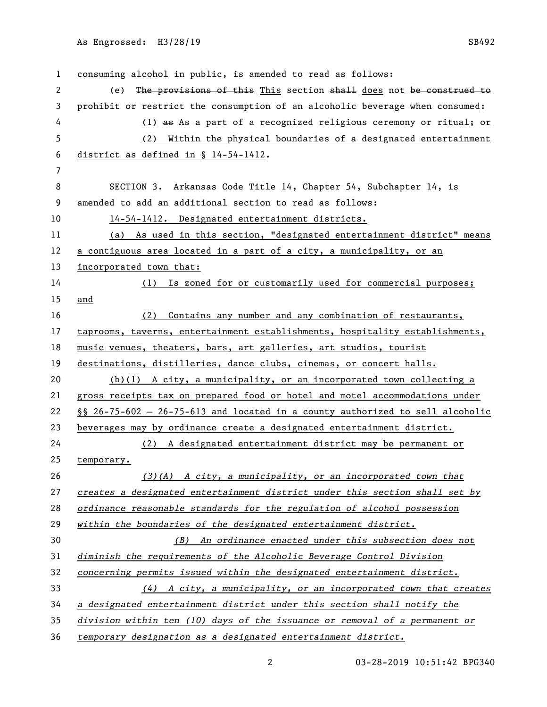consuming alcohol in public, is amended to read as follows: 2 (e) The provisions of this This section shall does not be construed to prohibit or restrict the consumption of an alcoholic beverage when consumed: (1) as As a part of a recognized religious ceremony or ritual; or (2) Within the physical boundaries of a designated entertainment district as defined in § 14-54-1412. SECTION 3. Arkansas Code Title 14, Chapter 54, Subchapter 14, is amended to add an additional section to read as follows: 14-54-1412. Designated entertainment districts. (a) As used in this section, "designated entertainment district" means a contiguous area located in a part of a city, a municipality, or an incorporated town that: (1) Is zoned for or customarily used for commercial purposes; and 16 (2) Contains any number and any combination of restaurants, taprooms, taverns, entertainment establishments, hospitality establishments, music venues, theaters, bars, art galleries, art studios, tourist destinations, distilleries, dance clubs, cinemas, or concert halls. (b)(1) A city, a municipality, or an incorporated town collecting a 21 gross receipts tax on prepared food or hotel and motel accommodations under §§ 26-75-602 — 26-75-613 and located in a county authorized to sell alcoholic beverages may by ordinance create a designated entertainment district. (2) A designated entertainment district may be permanent or temporary. *(3)(A) A city, a municipality, or an incorporated town that creates a designated entertainment district under this section shall set by ordinance reasonable standards for the regulation of alcohol possession within the boundaries of the designated entertainment district. (B) An ordinance enacted under this subsection does not diminish the requirements of the Alcoholic Beverage Control Division concerning permits issued within the designated entertainment district. (4) A city, a municipality, or an incorporated town that creates a designated entertainment district under this section shall notify the division within ten (10) days of the issuance or removal of a permanent or temporary designation as a designated entertainment district.*

03-28-2019 10:51:42 BPG340